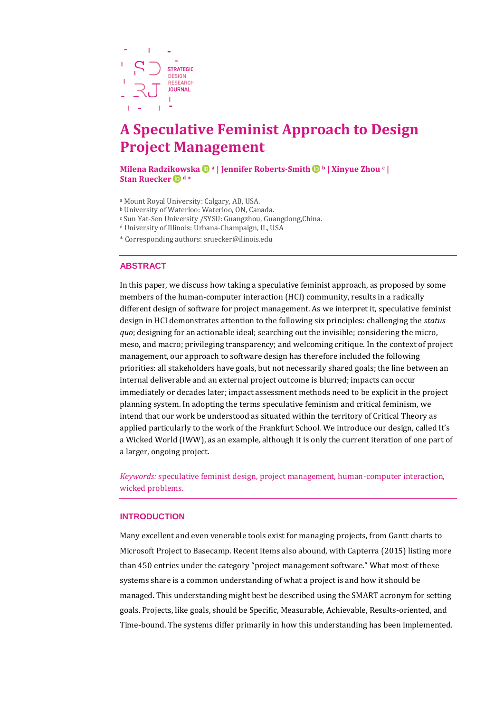

# **A Speculative Feminist Approach to Design Project Management**

**Milena Radzikowska <sup>a</sup> | Jennifer Roberts-Smith<sup>b</sup> | Xinyue Zhou <sup>c</sup> | Stan Ruecker <sup>d</sup> \***

- <sup>a</sup> Mount Royal University: Calgary, AB, USA.
- <sup>b</sup> University of Waterloo: Waterloo, ON, Canada.
- <sup>c</sup> Sun Yat-Sen University /SYSU: Guangzhou, Guangdong,China.
- <sup>d</sup> University of Illinois: Urbana-Champaign, IL, USA
- \* Corresponding authors: [sruecker@ilinois.edu](mailto:sruecker@ilinois.edu)

## **ABSTRACT**

In this paper, we discuss how taking a speculative feminist approach, as proposed by some members of the human-computer interaction (HCI) community, results in a radically different design of software for project management. As we interpret it, speculative feminist design in HCI demonstrates attention to the following six principles: challenging the *status quo*; designing for an actionable ideal; searching out the invisible; considering the micro, meso, and macro; privileging transparency; and welcoming critique. In the context of project management, our approach to software design has therefore included the following priorities: all stakeholders have goals, but not necessarily shared goals; the line between an internal deliverable and an external project outcome is blurred; impacts can occur immediately or decades later; impact assessment methods need to be explicit in the project planning system. In adopting the terms speculative feminism and critical feminism, we intend that our work be understood as situated within the territory of Critical Theory as applied particularly to the work of the Frankfurt School. We introduce our design, called It's a Wicked World (IWW), as an example, although it is only the current iteration of one part of a larger, ongoing project.

*Keywords:* speculative feminist design, project management, human-computer interaction, wicked problems.

## **INTRODUCTION**

Many excellent and even venerable tools exist for managing projects, from Gantt charts to Microsoft Project to Basecamp. Recent items also abound, with Capterra (2015) listing more than 450 entries under the category "project management software." What most of these systems share is a common understanding of what a project is and how it should be managed. This understanding might best be described using the SMART acronym for setting goals. Projects, like goals, should be Specific, Measurable, Achievable, Results-oriented, and Time-bound. The systems differ primarily in how this understanding has been implemented.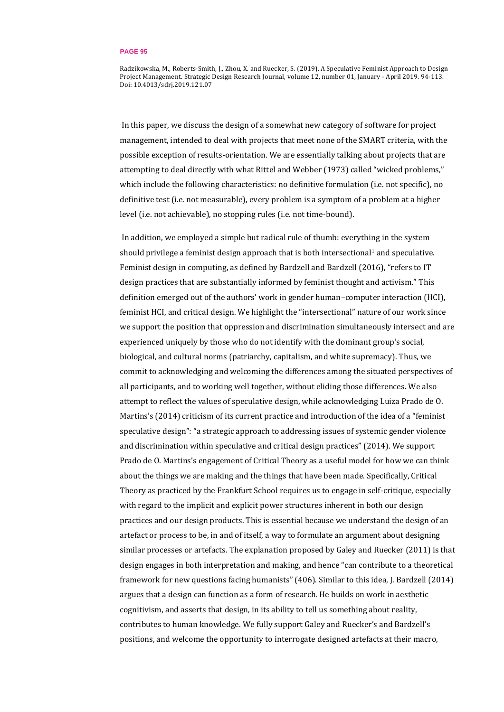Radzikowska, M., Roberts-Smith, J., Zhou, X. and Ruecker, S. (2019). A Speculative Feminist Approach to Design Project Management. Strategic Design Research Journal, volume 12, number 01, January - April 2019. 94-113. Doi: 10.4013/sdrj.2019.121.07

In this paper, we discuss the design of a somewhat new category of software for project management, intended to deal with projects that meet none of the SMART criteria, with the possible exception of results-orientation. We are essentially talking about projects that are attempting to deal directly with what Rittel and Webber (1973) called "wicked problems," which include the following characteristics: no definitive formulation (i.e. not specific), no definitive test (i.e. not measurable), every problem is a symptom of a problem at a higher level (i.e. not achievable), no stopping rules (i.e. not time-bound).

In addition, we employed a simple but radical rule of thumb: everything in the system should privilege a feminist design approach that is both intersectional<sup>1</sup> and speculative. Feminist design in computing, as defined by Bardzell and Bardzell (2016), "refers to IT design practices that are substantially informed by feminist thought and activism." This definition emerged out of the authors' work in gender human–computer interaction (HCI), feminist HCI, and critical design. We highlight the "intersectional" nature of our work since we support the position that oppression and discrimination simultaneously intersect and are experienced uniquely by those who do not identify with the dominant group's social, biological, and cultural norms (patriarchy, capitalism, and white supremacy). Thus, we commit to acknowledging and welcoming the differences among the situated perspectives of all participants, and to working well together, without eliding those differences. We also attempt to reflect the values of speculative design, while acknowledging Luiza Prado de O. Martins's (2014) criticism of its current practice and introduction of the idea of a "feminist speculative design": "a strategic approach to addressing issues of systemic gender violence and discrimination within speculative and critical design practices" (2014). We support Prado de O. Martins's engagement of Critical Theory as a useful model for how we can think about the things we are making and the things that have been made. Specifically, Critical Theory as practiced by the Frankfurt School requires us to engage in self-critique, especially with regard to the implicit and explicit power structures inherent in both our design practices and our design products. This is essential because we understand the design of an artefact or process to be, in and of itself, a way to formulate an argument about designing similar processes or artefacts. The explanation proposed by Galey and Ruecker (2011) is that design engages in both interpretation and making, and hence "can contribute to a theoretical framework for new questions facing humanists" (406). Similar to this idea, J. Bardzell (2014) argues that a design can function as a form of research. He builds on work in aesthetic cognitivism, and asserts that design, in its ability to tell us something about reality, contributes to human knowledge. We fully support Galey and Ruecker's and Bardzell's positions, and welcome the opportunity to interrogate designed artefacts at their macro,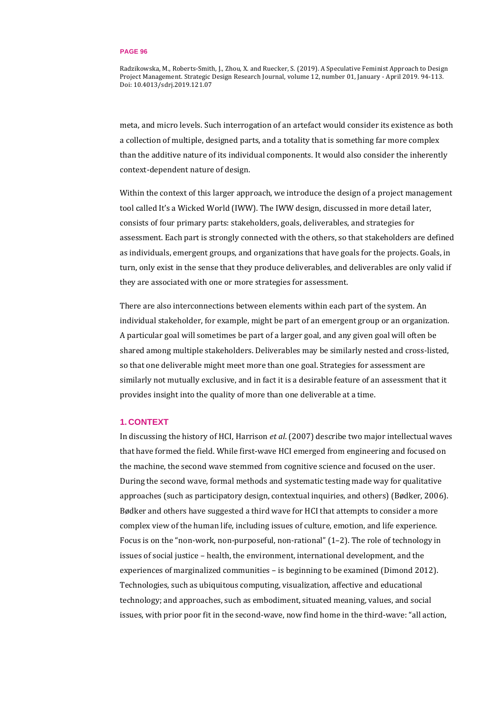Radzikowska, M., Roberts-Smith, J., Zhou, X. and Ruecker, S. (2019). A Speculative Feminist Approach to Design Project Management. Strategic Design Research Journal, volume 12, number 01, January - April 2019. 94-113. Doi: 10.4013/sdrj.2019.121.07

meta, and micro levels. Such interrogation of an artefact would consider its existence as both a collection of multiple, designed parts, and a totality that is something far more complex than the additive nature of its individual components. It would also consider the inherently context-dependent nature of design.

Within the context of this larger approach, we introduce the design of a project management tool called It's a Wicked World (IWW). The IWW design, discussed in more detail later, consists of four primary parts: stakeholders, goals, deliverables, and strategies for assessment. Each part is strongly connected with the others, so that stakeholders are defined as individuals, emergent groups, and organizations that have goals for the projects. Goals, in turn, only exist in the sense that they produce deliverables, and deliverables are only valid if they are associated with one or more strategies for assessment.

There are also interconnections between elements within each part of the system. An individual stakeholder, for example, might be part of an emergent group or an organization. A particular goal will sometimes be part of a larger goal, and any given goal will often be shared among multiple stakeholders. Deliverables may be similarly nested and cross-listed, so that one deliverable might meet more than one goal. Strategies for assessment are similarly not mutually exclusive, and in fact it is a desirable feature of an assessment that it provides insight into the quality of more than one deliverable at a time.

## **1. CONTEXT**

In discussing the history of HCI, Harrison *et al*. (2007) describe two major intellectual waves that have formed the field. While first-wave HCI emerged from engineering and focused on the machine, the second wave stemmed from cognitive science and focused on the user. During the second wave, formal methods and systematic testing made way for qualitative approaches (such as participatory design, contextual inquiries, and others) (Bødker, 2006). Bødker and others have suggested a third wave for HCI that attempts to consider a more complex view of the human life, including issues of culture, emotion, and life experience. Focus is on the "non-work, non-purposeful, non-rational" (1–2). The role of technology in issues of social justice – health, the environment, international development, and the experiences of marginalized communities – is beginning to be examined (Dimond 2012). Technologies, such as ubiquitous computing, visualization, affective and educational technology; and approaches, such as embodiment, situated meaning, values, and social issues, with prior poor fit in the second-wave, now find home in the third-wave: "all action,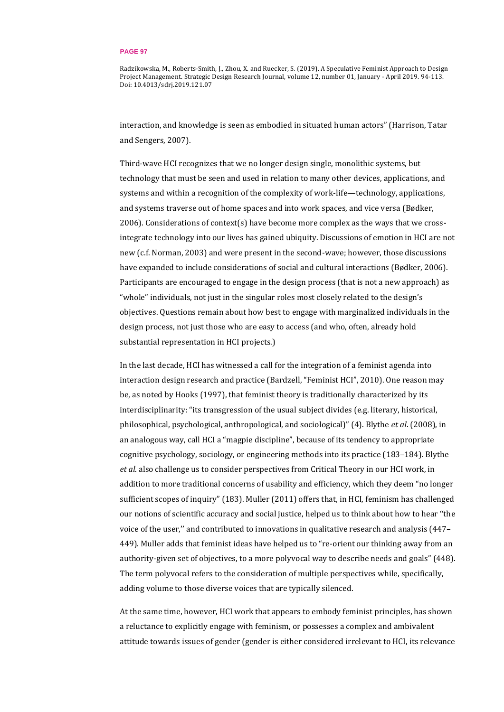Radzikowska, M., Roberts-Smith, J., Zhou, X. and Ruecker, S. (2019). A Speculative Feminist Approach to Design Project Management. Strategic Design Research Journal, volume 12, number 01, January - April 2019. 94-113. Doi: 10.4013/sdrj.2019.121.07

interaction, and knowledge is seen as embodied in situated human actors" (Harrison, Tatar and Sengers, 2007).

Third-wave HCI recognizes that we no longer design single, monolithic systems, but technology that must be seen and used in relation to many other devices, applications, and systems and within a recognition of the complexity of work-life—technology, applications, and systems traverse out of home spaces and into work spaces, and vice versa (Bødker, 2006). Considerations of context(s) have become more complex as the ways that we crossintegrate technology into our lives has gained ubiquity. Discussions of emotion in HCI are not new (c.f. Norman, 2003) and were present in the second-wave; however, those discussions have expanded to include considerations of social and cultural interactions (Bødker, 2006). Participants are encouraged to engage in the design process (that is not a new approach) as "whole" individuals, not just in the singular roles most closely related to the design's objectives. Questions remain about how best to engage with marginalized individuals in the design process, not just those who are easy to access (and who, often, already hold substantial representation in HCI projects.)

In the last decade, HCI has witnessed a call for the integration of a feminist agenda into interaction design research and practice (Bardzell, "Feminist HCI", 2010). One reason may be, as noted by Hooks (1997), that feminist theory is traditionally characterized by its interdisciplinarity: "its transgression of the usual subject divides (e.g. literary, historical, philosophical, psychological, anthropological, and sociological)" (4). Blythe *et al*. (2008), in an analogous way, call HCI a "magpie discipline", because of its tendency to appropriate cognitive psychology, sociology, or engineering methods into its practice (183–184). Blythe *et al*. also challenge us to consider perspectives from Critical Theory in our HCI work, in addition to more traditional concerns of usability and efficiency, which they deem "no longer sufficient scopes of inquiry" (183). Muller (2011) offers that, in HCI, feminism has challenged our notions of scientific accuracy and social justice, helped us to think about how to hear ''the voice of the user,'' and contributed to innovations in qualitative research and analysis (447– 449). Muller adds that feminist ideas have helped us to "re-orient our thinking away from an authority-given set of objectives, to a more polyvocal way to describe needs and goals" (448). The term polyvocal refers to the consideration of multiple perspectives while, specifically, adding volume to those diverse voices that are typically silenced.

At the same time, however, HCI work that appears to embody feminist principles, has shown a reluctance to explicitly engage with feminism, or possesses a complex and ambivalent attitude towards issues of gender (gender is either considered irrelevant to HCI, its relevance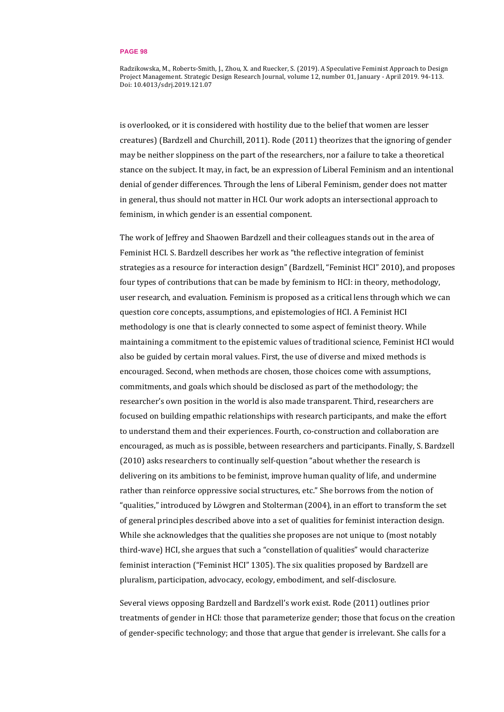Radzikowska, M., Roberts-Smith, J., Zhou, X. and Ruecker, S. (2019). A Speculative Feminist Approach to Design Project Management. Strategic Design Research Journal, volume 12, number 01, January - April 2019. 94-113. Doi: 10.4013/sdrj.2019.121.07

is overlooked, or it is considered with hostility due to the belief that women are lesser creatures) (Bardzell and Churchill, 2011). Rode (2011) theorizes that the ignoring of gender may be neither sloppiness on the part of the researchers, nor a failure to take a theoretical stance on the subject. It may, in fact, be an expression of Liberal Feminism and an intentional denial of gender differences. Through the lens of Liberal Feminism, gender does not matter in general, thus should not matter in HCI. Our work adopts an intersectional approach to feminism, in which gender is an essential component.

The work of Jeffrey and Shaowen Bardzell and their colleagues stands out in the area of Feminist HCI. S. Bardzell describes her work as "the reflective integration of feminist strategies as a resource for interaction design" (Bardzell, "Feminist HCI" 2010), and proposes four types of contributions that can be made by feminism to HCI: in theory, methodology, user research, and evaluation. Feminism is proposed as a critical lens through which we can question core concepts, assumptions, and epistemologies of HCI. A Feminist HCI methodology is one that is clearly connected to some aspect of feminist theory. While maintaining a commitment to the epistemic values of traditional science, Feminist HCI would also be guided by certain moral values. First, the use of diverse and mixed methods is encouraged. Second, when methods are chosen, those choices come with assumptions, commitments, and goals which should be disclosed as part of the methodology; the researcher's own position in the world is also made transparent. Third, researchers are focused on building empathic relationships with research participants, and make the effort to understand them and their experiences. Fourth, co-construction and collaboration are encouraged, as much as is possible, between researchers and participants. Finally, S. Bardzell (2010) asks researchers to continually self-question "about whether the research is delivering on its ambitions to be feminist, improve human quality of life, and undermine rather than reinforce oppressive social structures, etc." She borrows from the notion of "qualities," introduced by Löwgren and Stolterman (2004), in an effort to transform the set of general principles described above into a set of qualities for feminist interaction design. While she acknowledges that the qualities she proposes are not unique to (most notably third-wave) HCI, she argues that such a "constellation of qualities" would characterize feminist interaction ("Feminist HCI" 1305). The six qualities proposed by Bardzell are pluralism, participation, advocacy, ecology, embodiment, and self-disclosure.

Several views opposing Bardzell and Bardzell's work exist. Rode (2011) outlines prior treatments of gender in HCI: those that parameterize gender; those that focus on the creation of gender-specific technology; and those that argue that gender is irrelevant. She calls for a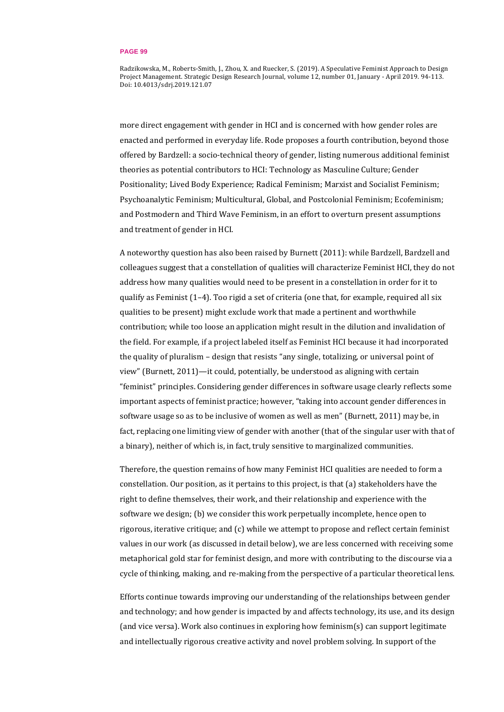Radzikowska, M., Roberts-Smith, J., Zhou, X. and Ruecker, S. (2019). A Speculative Feminist Approach to Design Project Management. Strategic Design Research Journal, volume 12, number 01, January - April 2019. 94-113. Doi: 10.4013/sdrj.2019.121.07

more direct engagement with gender in HCI and is concerned with how gender roles are enacted and performed in everyday life. Rode proposes a fourth contribution, beyond those offered by Bardzell: a socio-technical theory of gender, listing numerous additional feminist theories as potential contributors to HCI: Technology as Masculine Culture; Gender Positionality; Lived Body Experience; Radical Feminism; Marxist and Socialist Feminism; Psychoanalytic Feminism; Multicultural, Global, and Postcolonial Feminism; Ecofeminism; and Postmodern and Third Wave Feminism, in an effort to overturn present assumptions and treatment of gender in HCI.

A noteworthy question has also been raised by Burnett (2011): while Bardzell, Bardzell and colleagues suggest that a constellation of qualities will characterize Feminist HCI, they do not address how many qualities would need to be present in a constellation in order for it to qualify as Feminist (1–4). Too rigid a set of criteria (one that, for example, required all six qualities to be present) might exclude work that made a pertinent and worthwhile contribution; while too loose an application might result in the dilution and invalidation of the field. For example, if a project labeled itself as Feminist HCI because it had incorporated the quality of pluralism – design that resists "any single, totalizing, or universal point of view" (Burnett, 2011)—it could, potentially, be understood as aligning with certain "feminist" principles. Considering gender differences in software usage clearly reflects some important aspects of feminist practice; however, "taking into account gender differences in software usage so as to be inclusive of women as well as men" (Burnett, 2011) may be, in fact, replacing one limiting view of gender with another (that of the singular user with that of a binary), neither of which is, in fact, truly sensitive to marginalized communities.

Therefore, the question remains of how many Feminist HCI qualities are needed to form a constellation. Our position, as it pertains to this project, is that (a) stakeholders have the right to define themselves, their work, and their relationship and experience with the software we design; (b) we consider this work perpetually incomplete, hence open to rigorous, iterative critique; and (c) while we attempt to propose and reflect certain feminist values in our work (as discussed in detail below), we are less concerned with receiving some metaphorical gold star for feminist design, and more with contributing to the discourse via a cycle of thinking, making, and re-making from the perspective of a particular theoretical lens.

Efforts continue towards improving our understanding of the relationships between gender and technology; and how gender is impacted by and affects technology, its use, and its design (and vice versa). Work also continues in exploring how feminism(s) can support legitimate and intellectually rigorous creative activity and novel problem solving. In support of the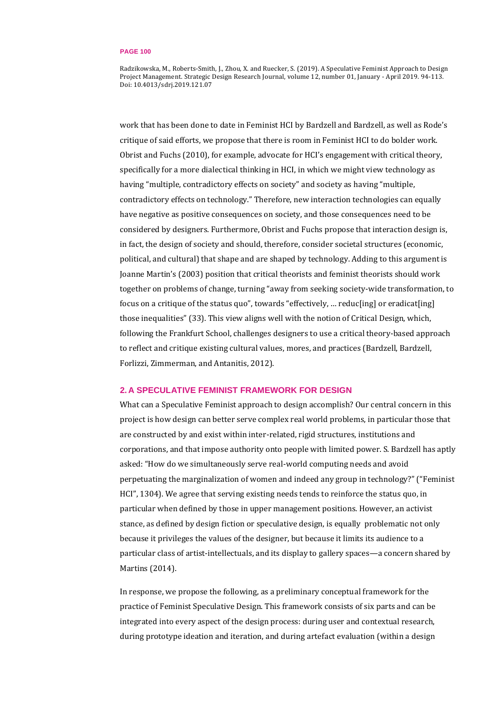Radzikowska, M., Roberts-Smith, J., Zhou, X. and Ruecker, S. (2019). A Speculative Feminist Approach to Design Project Management. Strategic Design Research Journal, volume 12, number 01, January - April 2019. 94-113. Doi: 10.4013/sdrj.2019.121.07

work that has been done to date in Feminist HCI by Bardzell and Bardzell, as well as Rode's critique of said efforts, we propose that there is room in Feminist HCI to do bolder work. Obrist and Fuchs (2010), for example, advocate for HCI's engagement with critical theory, specifically for a more dialectical thinking in HCI, in which we might view technology as having "multiple, contradictory effects on society" and society as having "multiple, contradictory effects on technology." Therefore, new interaction technologies can equally have negative as positive consequences on society, and those consequences need to be considered by designers. Furthermore, Obrist and Fuchs propose that interaction design is, in fact, the design of society and should, therefore, consider societal structures (economic, political, and cultural) that shape and are shaped by technology. Adding to this argument is Joanne Martin's (2003) position that critical theorists and feminist theorists should work together on problems of change, turning "away from seeking society-wide transformation, to focus on a critique of the status quo", towards "effectively, ... reduc[ing] or eradicat[ing] those inequalities" (33). This view aligns well with the notion of Critical Design, which, following the Frankfurt School, challenges designers to use a critical theory-based approach to reflect and critique existing cultural values, mores, and practices (Bardzell, Bardzell, Forlizzi, Zimmerman, and Antanitis, 2012).

## **2. A SPECULATIVE FEMINIST FRAMEWORK FOR DESIGN**

What can a Speculative Feminist approach to design accomplish? Our central concern in this project is how design can better serve complex real world problems, in particular those that are constructed by and exist within inter-related, rigid structures, institutions and corporations, and that impose authority onto people with limited power. S. Bardzell has aptly asked: "How do we simultaneously serve real-world computing needs and avoid perpetuating the marginalization of women and indeed any group in technology?" ("Feminist HCI", 1304). We agree that serving existing needs tends to reinforce the status quo, in particular when defined by those in upper management positions. However, an activist stance, as defined by design fiction or speculative design, is equally problematic not only because it privileges the values of the designer, but because it limits its audience to a particular class of artist-intellectuals, and its display to gallery spaces—a concern shared by Martins (2014).

In response, we propose the following, as a preliminary conceptual framework for the practice of Feminist Speculative Design. This framework consists of six parts and can be integrated into every aspect of the design process: during user and contextual research, during prototype ideation and iteration, and during artefact evaluation (within a design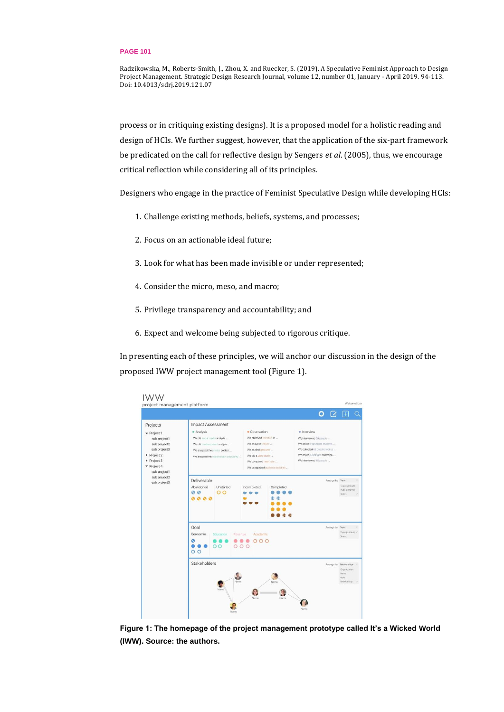Radzikowska, M., Roberts-Smith, J., Zhou, X. and Ruecker, S. (2019). A Speculative Feminist Approach to Design Project Management. Strategic Design Research Journal, volume 12, number 01, January - April 2019. 94-113. Doi: 10.4013/sdrj.2019.121.07

process or in critiquing existing designs). It is a proposed model for a holistic reading and design of HCIs. We further suggest, however, that the application of the six-part framework be predicated on the call for reflective design by Sengers *et al*. (2005), thus, we encourage critical reflection while considering all of its principles.

Designers who engage in the practice of Feminist Speculative Design while developing HCIs:

- 1. Challenge existing methods, beliefs, systems, and processes;
- 2. Focus on an actionable ideal future;
- 3. Look for what has been made invisible or under represented;
- 4. Consider the micro, meso, and macro;
- 5. Privilege transparency and accountability; and
- 6. Expect and welcome being subjected to rigorous critique.

In presenting each of these principles, we will anchor our discussion in the design of the proposed IWW project management tool (Figure 1).



**Figure 1: The homepage of the project management prototype called It's a Wicked World (IWW). Source: the authors.**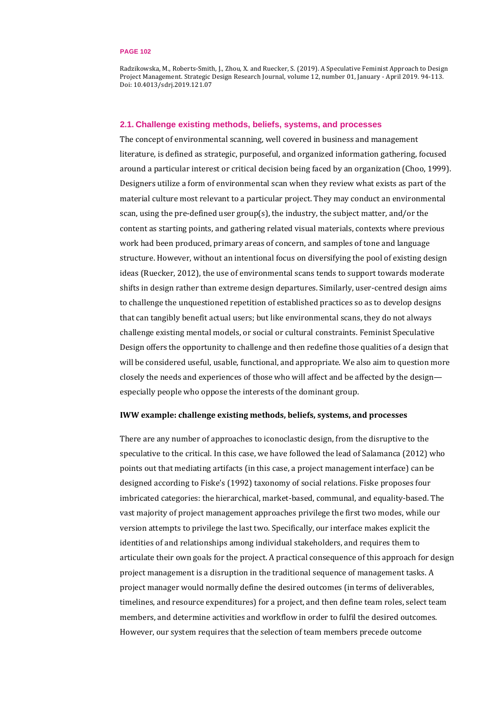Radzikowska, M., Roberts-Smith, J., Zhou, X. and Ruecker, S. (2019). A Speculative Feminist Approach to Design Project Management. Strategic Design Research Journal, volume 12, number 01, January - April 2019. 94-113. Doi: 10.4013/sdrj.2019.121.07

## **2.1. Challenge existing methods, beliefs, systems, and processes**

The concept of environmental scanning, well covered in business and management literature, is defined as strategic, purposeful, and organized information gathering, focused around a particular interest or critical decision being faced by an organization (Choo, 1999). Designers utilize a form of environmental scan when they review what exists as part of the material culture most relevant to a particular project. They may conduct an environmental scan, using the pre-defined user group(s), the industry, the subject matter, and/or the content as starting points, and gathering related visual materials, contexts where previous work had been produced, primary areas of concern, and samples of tone and language structure. However, without an intentional focus on diversifying the pool of existing design ideas (Ruecker, 2012), the use of environmental scans tends to support towards moderate shifts in design rather than extreme design departures. Similarly, user-centred design aims to challenge the unquestioned repetition of established practices so as to develop designs that can tangibly benefit actual users; but like environmental scans, they do not always challenge existing mental models, or social or cultural constraints. Feminist Speculative Design offers the opportunity to challenge and then redefine those qualities of a design that will be considered useful, usable, functional, and appropriate. We also aim to question more closely the needs and experiences of those who will affect and be affected by the design especially people who oppose the interests of the dominant group.

## **IWW example: challenge existing methods, beliefs, systems, and processes**

There are any number of approaches to iconoclastic design, from the disruptive to the speculative to the critical. In this case, we have followed the lead of Salamanca (2012) who points out that mediating artifacts (in this case, a project management interface) can be designed according to Fiske's (1992) taxonomy of social relations. Fiske proposes four imbricated categories: the hierarchical, market-based, communal, and equality-based. The vast majority of project management approaches privilege the first two modes, while our version attempts to privilege the last two. Specifically, our interface makes explicit the identities of and relationships among individual stakeholders, and requires them to articulate their own goals for the project. A practical consequence of this approach for design project management is a disruption in the traditional sequence of management tasks. A project manager would normally define the desired outcomes (in terms of deliverables, timelines, and resource expenditures) for a project, and then define team roles, select team members, and determine activities and workflow in order to fulfil the desired outcomes. However, our system requires that the selection of team members precede outcome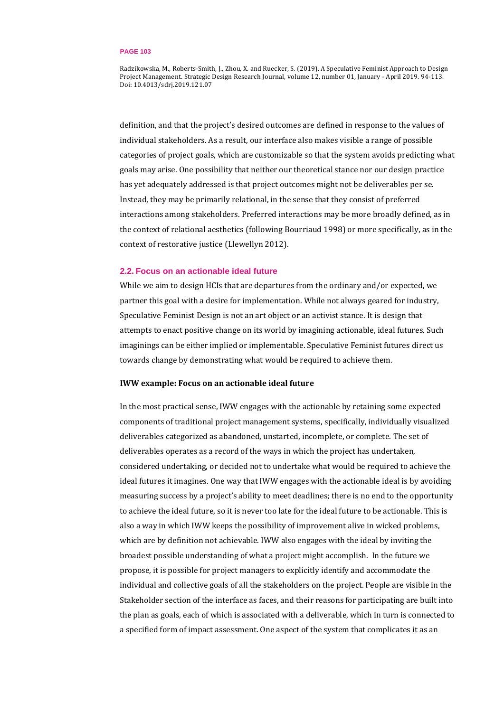Radzikowska, M., Roberts-Smith, J., Zhou, X. and Ruecker, S. (2019). A Speculative Feminist Approach to Design Project Management. Strategic Design Research Journal, volume 12, number 01, January - April 2019. 94-113. Doi: 10.4013/sdrj.2019.121.07

definition, and that the project's desired outcomes are defined in response to the values of individual stakeholders. As a result, our interface also makes visible a range of possible categories of project goals, which are customizable so that the system avoids predicting what goals may arise. One possibility that neither our theoretical stance nor our design practice has yet adequately addressed is that project outcomes might not be deliverables per se. Instead, they may be primarily relational, in the sense that they consist of preferred interactions among stakeholders. Preferred interactions may be more broadly defined, as in the context of relational aesthetics (following Bourriaud 1998) or more specifically, as in the context of restorative justice (Llewellyn 2012).

## **2.2. Focus on an actionable ideal future**

While we aim to design HCIs that are departures from the ordinary and/or expected, we partner this goal with a desire for implementation. While not always geared for industry, Speculative Feminist Design is not an art object or an activist stance. It is design that attempts to enact positive change on its world by imagining actionable, ideal futures. Such imaginings can be either implied or implementable. Speculative Feminist futures direct us towards change by demonstrating what would be required to achieve them.

## **IWW example: Focus on an actionable ideal future**

In the most practical sense, IWW engages with the actionable by retaining some expected components of traditional project management systems, specifically, individually visualized deliverables categorized as abandoned, unstarted, incomplete, or complete. The set of deliverables operates as a record of the ways in which the project has undertaken, considered undertaking, or decided not to undertake what would be required to achieve the ideal futures it imagines. One way that IWW engages with the actionable ideal is by avoiding measuring success by a project's ability to meet deadlines; there is no end to the opportunity to achieve the ideal future, so it is never too late for the ideal future to be actionable. This is also a way in which IWW keeps the possibility of improvement alive in wicked problems, which are by definition not achievable. IWW also engages with the ideal by inviting the broadest possible understanding of what a project might accomplish. In the future we propose, it is possible for project managers to explicitly identify and accommodate the individual and collective goals of all the stakeholders on the project. People are visible in the Stakeholder section of the interface as faces, and their reasons for participating are built into the plan as goals, each of which is associated with a deliverable, which in turn is connected to a specified form of impact assessment. One aspect of the system that complicates it as an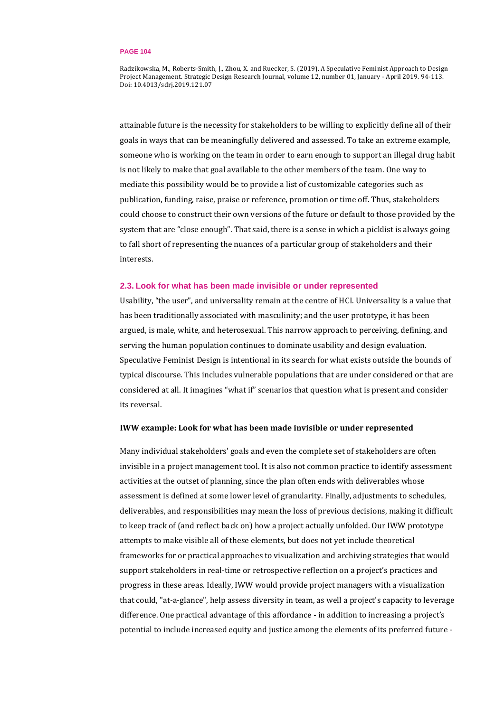Radzikowska, M., Roberts-Smith, J., Zhou, X. and Ruecker, S. (2019). A Speculative Feminist Approach to Design Project Management. Strategic Design Research Journal, volume 12, number 01, January - April 2019. 94-113. Doi: 10.4013/sdrj.2019.121.07

attainable future is the necessity for stakeholders to be willing to explicitly define all of their goals in ways that can be meaningfully delivered and assessed. To take an extreme example, someone who is working on the team in order to earn enough to support an illegal drug habit is not likely to make that goal available to the other members of the team. One way to mediate this possibility would be to provide a list of customizable categories such as publication, funding, raise, praise or reference, promotion or time off. Thus, stakeholders could choose to construct their own versions of the future or default to those provided by the system that are "close enough". That said, there is a sense in which a picklist is always going to fall short of representing the nuances of a particular group of stakeholders and their interests.

## **2.3. Look for what has been made invisible or under represented**

Usability, "the user", and universality remain at the centre of HCI. Universality is a value that has been traditionally associated with masculinity; and the user prototype, it has been argued, is male, white, and heterosexual. This narrow approach to perceiving, defining, and serving the human population continues to dominate usability and design evaluation. Speculative Feminist Design is intentional in its search for what exists outside the bounds of typical discourse. This includes vulnerable populations that are under considered or that are considered at all. It imagines "what if" scenarios that question what is present and consider its reversal.

## **IWW example: Look for what has been made invisible or under represented**

Many individual stakeholders' goals and even the complete set of stakeholders are often invisible in a project management tool. It is also not common practice to identify assessment activities at the outset of planning, since the plan often ends with deliverables whose assessment is defined at some lower level of granularity. Finally, adjustments to schedules, deliverables, and responsibilities may mean the loss of previous decisions, making it difficult to keep track of (and reflect back on) how a project actually unfolded. Our IWW prototype attempts to make visible all of these elements, but does not yet include theoretical frameworks for or practical approaches to visualization and archiving strategies that would support stakeholders in real-time or retrospective reflection on a project's practices and progress in these areas. Ideally, IWW would provide project managers with a visualization that could, "at-a-glance", help assess diversity in team, as well a project's capacity to leverage difference. One practical advantage of this affordance - in addition to increasing a project's potential to include increased equity and justice among the elements of its preferred future -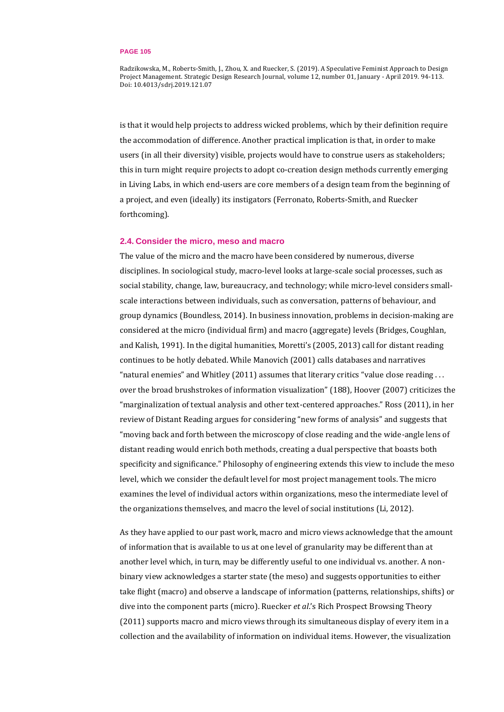Radzikowska, M., Roberts-Smith, J., Zhou, X. and Ruecker, S. (2019). A Speculative Feminist Approach to Design Project Management. Strategic Design Research Journal, volume 12, number 01, January - April 2019. 94-113. Doi: 10.4013/sdrj.2019.121.07

is that it would help projects to address wicked problems, which by their definition require the accommodation of difference. Another practical implication is that, in order to make users (in all their diversity) visible, projects would have to construe users as stakeholders; this in turn might require projects to adopt co-creation design methods currently emerging in Living Labs, in which end-users are core members of a design team from the beginning of a project, and even (ideally) its instigators (Ferronato, Roberts-Smith, and Ruecker forthcoming).

### **2.4. Consider the micro, meso and macro**

The value of the micro and the macro have been considered by numerous, diverse disciplines. In sociological study, macro-level looks at large-scale social processes, such as social stability, change, law, bureaucracy, and technology; while micro-level considers smallscale interactions between individuals, such as conversation, patterns of behaviour, and group dynamics (Boundless, 2014). In business innovation, problems in decision-making are considered at the micro (individual firm) and macro (aggregate) levels (Bridges, Coughlan, and Kalish, 1991). In the digital humanities, Moretti's (2005, 2013) call for distant reading continues to be hotly debated. While Manovich (2001) calls databases and narratives "natural enemies" and Whitley (2011) assumes that literary critics "value close reading . . . over the broad brushstrokes of information visualization" (188), Hoover (2007) criticizes the "marginalization of textual analysis and other text-centered approaches." Ross (2011), in her review of Distant Reading argues for considering "new forms of analysis" and suggests that "moving back and forth between the microscopy of close reading and the wide-angle lens of distant reading would enrich both methods, creating a dual perspective that boasts both specificity and significance." Philosophy of engineering extends this view to include the meso level, which we consider the default level for most project management tools. The micro examines the level of individual actors within organizations, meso the intermediate level of the organizations themselves, and macro the level of social institutions (Li, 2012).

As they have applied to our past work, macro and micro views acknowledge that the amount of information that is available to us at one level of granularity may be different than at another level which, in turn, may be differently useful to one individual vs. another. A nonbinary view acknowledges a starter state (the meso) and suggests opportunities to either take flight (macro) and observe a landscape of information (patterns, relationships, shifts) or dive into the component parts (micro). Ruecker *et al*.'s Rich Prospect Browsing Theory (2011) supports macro and micro views through its simultaneous display of every item in a collection and the availability of information on individual items. However, the visualization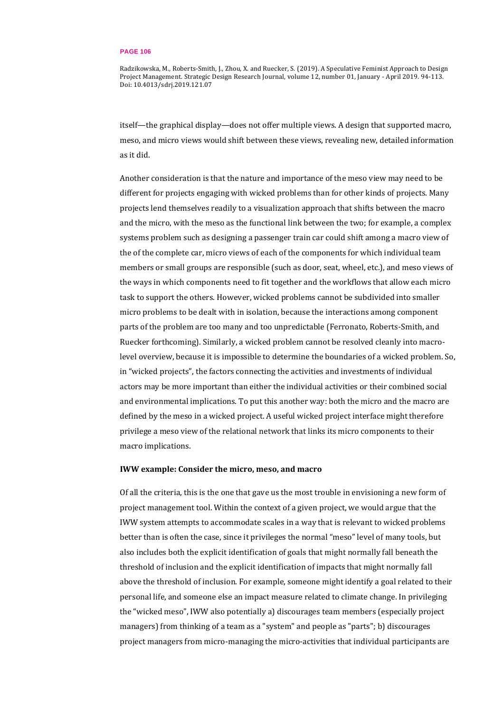Radzikowska, M., Roberts-Smith, J., Zhou, X. and Ruecker, S. (2019). A Speculative Feminist Approach to Design Project Management. Strategic Design Research Journal, volume 12, number 01, January - April 2019. 94-113. Doi: 10.4013/sdrj.2019.121.07

itself—the graphical display—does not offer multiple views. A design that supported macro, meso, and micro views would shift between these views, revealing new, detailed information as it did.

Another consideration is that the nature and importance of the meso view may need to be different for projects engaging with wicked problems than for other kinds of projects. Many projects lend themselves readily to a visualization approach that shifts between the macro and the micro, with the meso as the functional link between the two; for example, a complex systems problem such as designing a passenger train car could shift among a macro view of the of the complete car, micro views of each of the components for which individual team members or small groups are responsible (such as door, seat, wheel, etc.), and meso views of the ways in which components need to fit together and the workflows that allow each micro task to support the others. However, wicked problems cannot be subdivided into smaller micro problems to be dealt with in isolation, because the interactions among component parts of the problem are too many and too unpredictable (Ferronato, Roberts-Smith, and Ruecker forthcoming). Similarly, a wicked problem cannot be resolved cleanly into macrolevel overview, because it is impossible to determine the boundaries of a wicked problem. So, in "wicked projects", the factors connecting the activities and investments of individual actors may be more important than either the individual activities or their combined social and environmental implications. To put this another way: both the micro and the macro are defined by the meso in a wicked project. A useful wicked project interface might therefore privilege a meso view of the relational network that links its micro components to their macro implications.

## **IWW example: Consider the micro, meso, and macro**

Of all the criteria, this is the one that gave us the most trouble in envisioning a new form of project management tool. Within the context of a given project, we would argue that the IWW system attempts to accommodate scales in a way that is relevant to wicked problems better than is often the case, since it privileges the normal "meso" level of many tools, but also includes both the explicit identification of goals that might normally fall beneath the threshold of inclusion and the explicit identification of impacts that might normally fall above the threshold of inclusion. For example, someone might identify a goal related to their personal life, and someone else an impact measure related to climate change. In privileging the "wicked meso", IWW also potentially a) discourages team members (especially project managers) from thinking of a team as a "system" and people as "parts"; b) discourages project managers from micro-managing the micro-activities that individual participants are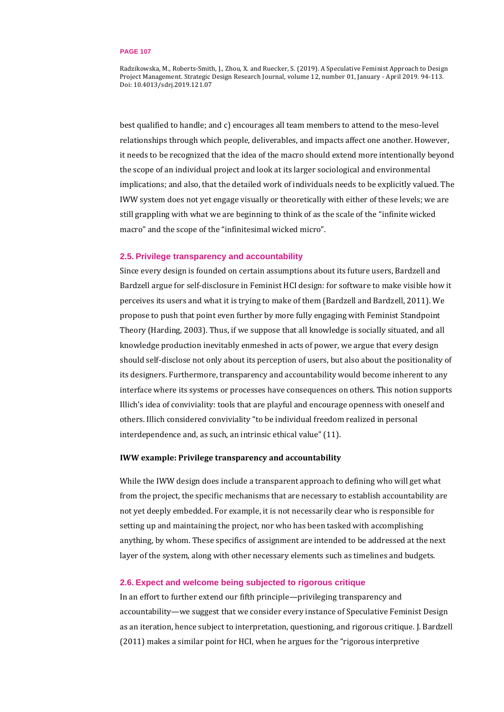Radzikowska, M., Roberts-Smith, J., Zhou, X. and Ruecker, S. (2019). A Speculative Feminist Approach to Design Project Management. Strategic Design Research Journal, volume 12, number 01, January - April 2019. 94-113. Doi: 10.4013/sdrj.2019.121.07

best qualified to handle; and c) encourages all team members to attend to the meso-level relationships through which people, deliverables, and impacts affect one another. However, it needs to be recognized that the idea of the macro should extend more intentionally beyond the scope of an individual project and look at its larger sociological and environmental implications; and also, that the detailed work of individuals needs to be explicitly valued. The IWW system does not yet engage visually or theoretically with either of these levels; we are still grappling with what we are beginning to think of as the scale of the "infinite wicked macro" and the scope of the "infinitesimal wicked micro".

## **2.5. Privilege transparency and accountability**

Since every design is founded on certain assumptions about its future users, Bardzell and Bardzell argue for self-disclosure in Feminist HCI design: for software to make visible how it perceives its users and what it is trying to make of them (Bardzell and Bardzell, 2011). We propose to push that point even further by more fully engaging with Feminist Standpoint Theory (Harding, 2003). Thus, if we suppose that all knowledge is socially situated, and all knowledge production inevitably enmeshed in acts of power, we argue that every design should self-disclose not only about its perception of users, but also about the positionality of its designers. Furthermore, transparency and accountability would become inherent to any interface where its systems or processes have consequences on others. This notion supports Illich's idea of conviviality: tools that are playful and encourage openness with oneself and others. Illich considered conviviality "to be individual freedom realized in personal interdependence and, as such, an intrinsic ethical value" (11).

## **IWW example: Privilege transparency and accountability**

While the IWW design does include a transparent approach to defining who will get what from the project, the specific mechanisms that are necessary to establish accountability are not yet deeply embedded. For example, it is not necessarily clear who is responsible for setting up and maintaining the project, nor who has been tasked with accomplishing anything, by whom. These specifics of assignment are intended to be addressed at the next layer of the system, along with other necessary elements such as timelines and budgets.

## **2.6. Expect and welcome being subjected to rigorous critique**

In an effort to further extend our fifth principle—privileging transparency and accountability—we suggest that we consider every instance of Speculative Feminist Design as an iteration, hence subject to interpretation, questioning, and rigorous critique. J. Bardzell (2011) makes a similar point for HCI, when he argues for the "rigorous interpretive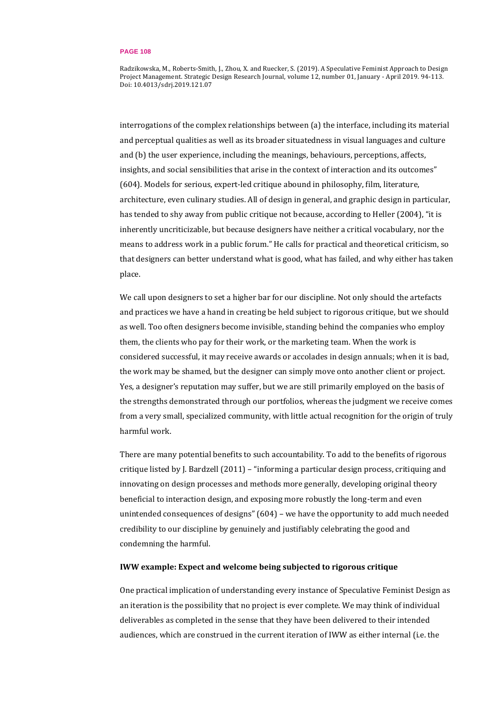Radzikowska, M., Roberts-Smith, J., Zhou, X. and Ruecker, S. (2019). A Speculative Feminist Approach to Design Project Management. Strategic Design Research Journal, volume 12, number 01, January - April 2019. 94-113. Doi: 10.4013/sdrj.2019.121.07

interrogations of the complex relationships between (a) the interface, including its material and perceptual qualities as well as its broader situatedness in visual languages and culture and (b) the user experience, including the meanings, behaviours, perceptions, affects, insights, and social sensibilities that arise in the context of interaction and its outcomes" (604). Models for serious, expert-led critique abound in philosophy, film, literature, architecture, even culinary studies. All of design in general, and graphic design in particular, has tended to shy away from public critique not because, according to Heller (2004), "it is inherently uncriticizable, but because designers have neither a critical vocabulary, nor the means to address work in a public forum." He calls for practical and theoretical criticism, so that designers can better understand what is good, what has failed, and why either has taken place.

We call upon designers to set a higher bar for our discipline. Not only should the artefacts and practices we have a hand in creating be held subject to rigorous critique, but we should as well. Too often designers become invisible, standing behind the companies who employ them, the clients who pay for their work, or the marketing team. When the work is considered successful, it may receive awards or accolades in design annuals; when it is bad, the work may be shamed, but the designer can simply move onto another client or project. Yes, a designer's reputation may suffer, but we are still primarily employed on the basis of the strengths demonstrated through our portfolios, whereas the judgment we receive comes from a very small, specialized community, with little actual recognition for the origin of truly harmful work.

There are many potential benefits to such accountability. To add to the benefits of rigorous critique listed by J. Bardzell (2011) – "informing a particular design process, critiquing and innovating on design processes and methods more generally, developing original theory beneficial to interaction design, and exposing more robustly the long-term and even unintended consequences of designs" (604) – we have the opportunity to add much needed credibility to our discipline by genuinely and justifiably celebrating the good and condemning the harmful.

## **IWW example: Expect and welcome being subjected to rigorous critique**

One practical implication of understanding every instance of Speculative Feminist Design as an iteration is the possibility that no project is ever complete. We may think of individual deliverables as completed in the sense that they have been delivered to their intended audiences, which are construed in the current iteration of IWW as either internal (i.e. the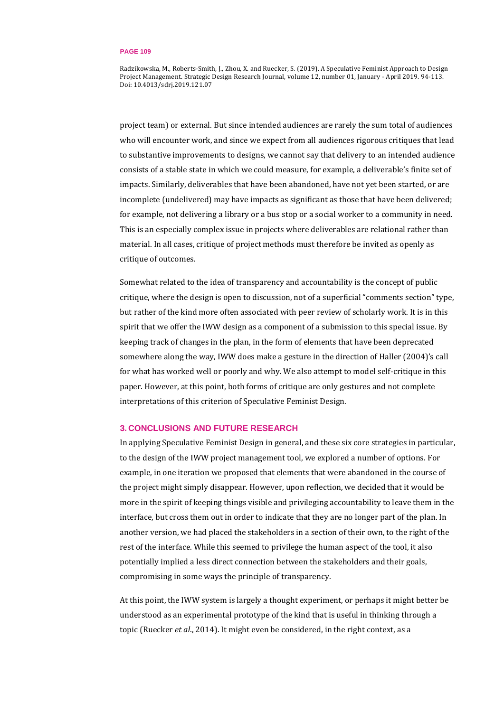Radzikowska, M., Roberts-Smith, J., Zhou, X. and Ruecker, S. (2019). A Speculative Feminist Approach to Design Project Management. Strategic Design Research Journal, volume 12, number 01, January - April 2019. 94-113. Doi: 10.4013/sdrj.2019.121.07

project team) or external. But since intended audiences are rarely the sum total of audiences who will encounter work, and since we expect from all audiences rigorous critiques that lead to substantive improvements to designs, we cannot say that delivery to an intended audience consists of a stable state in which we could measure, for example, a deliverable's finite set of impacts. Similarly, deliverables that have been abandoned, have not yet been started, or are incomplete (undelivered) may have impacts as significant as those that have been delivered; for example, not delivering a library or a bus stop or a social worker to a community in need. This is an especially complex issue in projects where deliverables are relational rather than material. In all cases, critique of project methods must therefore be invited as openly as critique of outcomes.

Somewhat related to the idea of transparency and accountability is the concept of public critique, where the design is open to discussion, not of a superficial "comments section" type, but rather of the kind more often associated with peer review of scholarly work. It is in this spirit that we offer the IWW design as a component of a submission to this special issue. By keeping track of changes in the plan, in the form of elements that have been deprecated somewhere along the way, IWW does make a gesture in the direction of Haller (2004)'s call for what has worked well or poorly and why. We also attempt to model self-critique in this paper. However, at this point, both forms of critique are only gestures and not complete interpretations of this criterion of Speculative Feminist Design.

## **3. CONCLUSIONS AND FUTURE RESEARCH**

In applying Speculative Feminist Design in general, and these six core strategies in particular, to the design of the IWW project management tool, we explored a number of options. For example, in one iteration we proposed that elements that were abandoned in the course of the project might simply disappear. However, upon reflection, we decided that it would be more in the spirit of keeping things visible and privileging accountability to leave them in the interface, but cross them out in order to indicate that they are no longer part of the plan. In another version, we had placed the stakeholders in a section of their own, to the right of the rest of the interface. While this seemed to privilege the human aspect of the tool, it also potentially implied a less direct connection between the stakeholders and their goals, compromising in some ways the principle of transparency.

At this point, the IWW system is largely a thought experiment, or perhaps it might better be understood as an experimental prototype of the kind that is useful in thinking through a topic (Ruecker *et al*., 2014). It might even be considered, in the right context, as a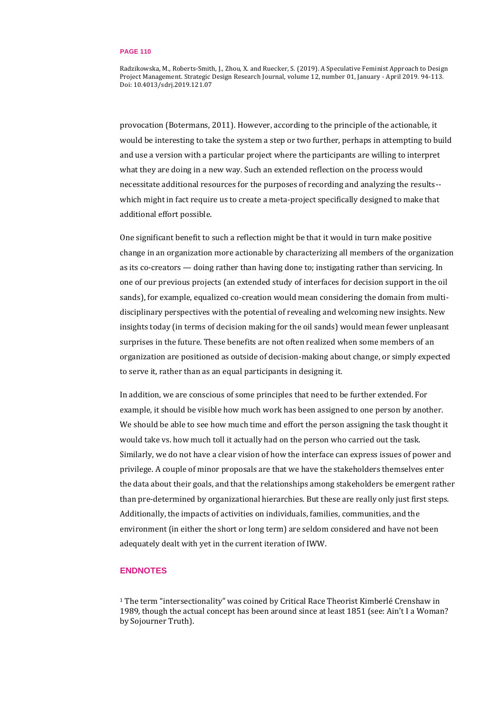Radzikowska, M., Roberts-Smith, J., Zhou, X. and Ruecker, S. (2019). A Speculative Feminist Approach to Design Project Management. Strategic Design Research Journal, volume 12, number 01, January - April 2019. 94-113. Doi: 10.4013/sdrj.2019.121.07

provocation (Botermans, 2011). However, according to the principle of the actionable, it would be interesting to take the system a step or two further, perhaps in attempting to build and use a version with a particular project where the participants are willing to interpret what they are doing in a new way. Such an extended reflection on the process would necessitate additional resources for the purposes of recording and analyzing the results- which might in fact require us to create a meta-project specifically designed to make that additional effort possible.

One significant benefit to such a reflection might be that it would in turn make positive change in an organization more actionable by characterizing all members of the organization as its co-creators — doing rather than having done to; instigating rather than servicing. In one of our previous projects (an extended study of interfaces for decision support in the oil sands), for example, equalized co-creation would mean considering the domain from multidisciplinary perspectives with the potential of revealing and welcoming new insights. New insights today (in terms of decision making for the oil sands) would mean fewer unpleasant surprises in the future. These benefits are not often realized when some members of an organization are positioned as outside of decision-making about change, or simply expected to serve it, rather than as an equal participants in designing it.

In addition, we are conscious of some principles that need to be further extended. For example, it should be visible how much work has been assigned to one person by another. We should be able to see how much time and effort the person assigning the task thought it would take vs. how much toll it actually had on the person who carried out the task. Similarly, we do not have a clear vision of how the interface can express issues of power and privilege. A couple of minor proposals are that we have the stakeholders themselves enter the data about their goals, and that the relationships among stakeholders be emergent rather than pre-determined by organizational hierarchies. But these are really only just first steps. Additionally, the impacts of activities on individuals, families, communities, and the environment (in either the short or long term) are seldom considered and have not been adequately dealt with yet in the current iteration of IWW.

# **ENDNOTES**

<sup>1</sup> The term "intersectionality" was coined by Critical Race Theorist Kimberlé Crenshaw in 1989, though the actual concept has been around since at least 1851 (see: Ain't I a Woman? by Sojourner Truth).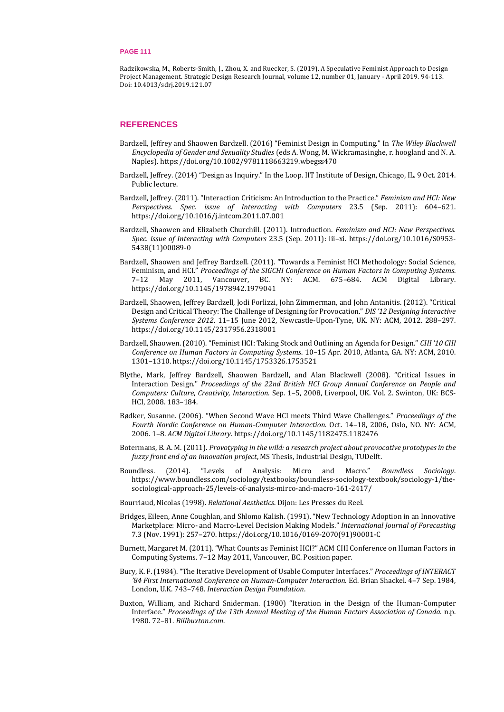Radzikowska, M., Roberts-Smith, J., Zhou, X. and Ruecker, S. (2019). A Speculative Feminist Approach to Design Project Management. Strategic Design Research Journal, volume 12, number 01, January - April 2019. 94-113. Doi: 10.4013/sdrj.2019.121.07

## **REFERENCES**

- Bardzell, Jeffrey and Shaowen Bardzell. (2016) "Feminist Design in Computing." In *The Wiley Blackwell Encyclopedia of Gender and Sexuality Studies* (eds A. Wong, M. Wickramasinghe, r. hoogland and N. A. Naples). <https://doi.org/10.1002/9781118663219.wbegss470>
- Bardzell, Jeffrey. (2014) "Design as Inquiry." In the Loop. IIT Institute of Design, Chicago, IL. 9 Oct. 2014. Public lecture.
- Bardzell, Jeffrey. (2011). "Interaction Criticism: An Introduction to the Practice." *Feminism and HCI: New Perspectives. Spec. issue of Interacting with Computers* 23.5 (Sep. 2011): 604–621. <https://doi.org/10.1016/j.intcom.2011.07.001>
- Bardzell, Shaowen and Elizabeth Churchill. (2011). Introduction. *Feminism and HCI: New Perspectives. Spec. issue of Interacting with Computers* 23.5 (Sep. 2011): iii–xi. [https://doi.org/10.1016/S0953-](https://doi.org/10.1016/S0953-5438(11)00089-0) [5438\(11\)00089-0](https://doi.org/10.1016/S0953-5438(11)00089-0)
- Bardzell, Shaowen and Jeffrey Bardzell. (2011). "Towards a Feminist HCI Methodology: Social Science, Feminism, and HCI." *Proceedings of the SIGCHI Conference on Human Factors in Computing Systems*. 7–12 May 2011, Vancouver, BC. NY: ACM. 675–684. ACM Digital Library. <https://doi.org/10.1145/1978942.1979041>
- Bardzell, Shaowen, Jeffrey Bardzell, Jodi Forlizzi, John Zimmerman, and John Antanitis. (2012). "Critical Design and Critical Theory: The Challenge of Designing for Provocation." *DIS '12 Designing Interactive Systems Conference 2012*. 11–15 June 2012, Newcastle-Upon-Tyne, UK. NY: ACM, 2012. 288–297. <https://doi.org/10.1145/2317956.2318001>
- Bardzell, Shaowen. (2010). "Feminist HCI: Taking Stock and Outlining an Agenda for Design." *CHI '10 CHI Conference on Human Factors in Computing Systems*. 10–15 Apr. 2010, Atlanta, GA. NY: ACM, 2010. 1301–1310. <https://doi.org/10.1145/1753326.1753521>
- Blythe, Mark, Jeffrey Bardzell, Shaowen Bardzell, and Alan Blackwell (2008). "Critical Issues in Interaction Design." *Proceedings of the 22nd British HCI Group Annual Conference on People and Computers: Culture*, *Creativity, Interaction*. Sep. 1–5, 2008, Liverpool, UK. Vol. 2. Swinton, UK: BCS-HCI, 2008. 183–184.
- Bødker, Susanne. (2006). "When Second Wave HCI meets Third Wave Challenges." *Proceedings of the Fourth Nordic Conference on Human-Computer Interaction.* Oct. 14–18, 2006, Oslo, NO. NY: ACM, 2006. 1–8. *ACM Digital Library*[. https://doi.org/10.1145/1182475.1182476](https://doi.org/10.1145/1182475.1182476)
- Botermans, B. A. M. (2011). *Provotyping in the wild: a research project about provocative prototypes in the fuzzy front end of an innovation project*, MS Thesis, Industrial Design, TUDelft.
- Boundless. (2014). "Levels of Analysis: Micro and Macro." *Boundless Sociology*. [https://www.boundless.com/sociology/textbooks/boundless-sociology-textbook/sociology-1/the](https://www.boundless.com/sociology/textbooks/boundless-sociology-textbook/sociology-1/the-sociological-approach-25/levels-of-analysis-mirco-and-macro-161-2417/)[sociological-approach-25/levels-of-analysis-mirco-and-macro-161-2417/](https://www.boundless.com/sociology/textbooks/boundless-sociology-textbook/sociology-1/the-sociological-approach-25/levels-of-analysis-mirco-and-macro-161-2417/)
- Bourriaud, Nicolas (1998). *Relational Aesthetics*. Dijon: Les Presses du Reel.
- Bridges, Eileen, Anne Coughlan, and Shlomo Kalish. (1991). "New Technology Adoption in an Innovative Marketplace: Micro- and Macro-Level Decision Making Models." *International Journal of Forecasting*  7.3 (Nov. 1991): 257–270. [https://doi.org/10.1016/0169-2070\(91\)90001-C](https://doi.org/10.1016/0169-2070(91)90001-C)
- Burnett, Margaret M. (2011). "What Counts as Feminist HCI?" ACM CHI Conference on Human Factors in Computing Systems. 7–12 May 2011, Vancouver, BC. Position paper.
- Bury, K. F. (1984). "The Iterative Development of Usable Computer Interfaces." *Proceedings of INTERACT '84 First International Conference on Human-Computer Interaction.* Ed. Brian Shackel. 4–7 Sep. 1984, London, U.K. 743–748. *Interaction Design Foundation*.
- Buxton, William, and Richard Sniderman. (1980) "Iteration in the Design of the Human-Computer Interface." *Proceedings of the 13th Annual Meeting of the Human Factors Association of Canada.* n.p. 1980. 72–81. *Billbuxton.com*.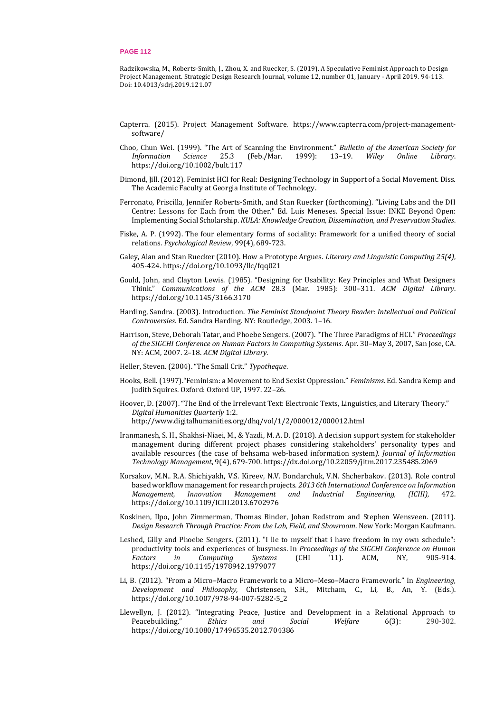Radzikowska, M., Roberts-Smith, J., Zhou, X. and Ruecker, S. (2019). A Speculative Feminist Approach to Design Project Management. Strategic Design Research Journal, volume 12, number 01, January - April 2019. 94-113. Doi: 10.4013/sdrj.2019.121.07

- Capterra. (2015). Project Management Software. [https://www.capterra.com/project-management](https://www.capterra.com/project-management-software/)[software/](https://www.capterra.com/project-management-software/)
- Choo, Chun Wei. (1999). "The Art of Scanning the Environment." *Bulletin of the American Society for Information Science* 25.3 (Feb./Mar. 1999): 13–19. *Wiley Online Library*. <https://doi.org/10.1002/bult.117>
- Dimond, Jill. (2012). Feminist HCI for Real: Designing Technology in Support of a Social Movement. Diss. The Academic Faculty at Georgia Institute of Technology.
- Ferronato, Priscilla, Jennifer Roberts-Smith, and Stan Ruecker (forthcoming). "Living Labs and the DH Centre: Lessons for Each from the Other." Ed. Luis Meneses. Special Issue: INKE Beyond Open: Implementing Social Scholarship. *KULA: Knowledge Creation, Dissemination, and Preservation Studies*.
- Fiske, A. P. (1992). The four elementary forms of sociality: Framework for a unified theory of social relations. *Psychological Review*, 99(4), 689-723.
- Galey, Alan and Stan Ruecker (2010). How a Prototype Argues. *Literary and Linguistic Computing 25(4)*, 405-424. <https://doi.org/10.1093/llc/fqq021>
- Gould, John, and Clayton Lewis. (1985). "Designing for Usability: Key Principles and What Designers Think." *Communications of the ACM* 28.3 (Mar. 1985): 300–311. *ACM Digital Library*. <https://doi.org/10.1145/3166.3170>
- Harding, Sandra. (2003). Introduction. *The Feminist Standpoint Theory Reader: Intellectual and Political Controversies*. Ed. Sandra Harding. NY: Routledge, 2003. 1–16.
- Harrison, Steve, Deborah Tatar, and Phoebe Sengers. (2007). "The Three Paradigms of HCI." *Proceedings of the SIGCHI Conference on Human Factors in Computing Systems*. Apr. 30–May 3, 2007, San Jose, CA. NY: ACM, 2007. 2–18. *ACM Digital Library*.
- Heller, Steven. (2004). "The Small Crit." *Typotheque*.
- Hooks, Bell. (1997)."Feminism: a Movement to End Sexist Oppression." *Feminisms*. Ed. Sandra Kemp and Judith Squires. Oxford: Oxford UP, 1997. 22–26.
- Hoover, D. (2007). "The End of the Irrelevant Text: Electronic Texts, Linguistics, and Literary Theory." *Digital Humanities Quarterly* 1:2. <http://www.digitalhumanities.org/dhq/vol/1/2/000012/000012.html>
- Iranmanesh, S. H., Shakhsi-Niaei, M., & Yazdi, M. A. D. (2018). A decision support system for stakeholder management during different project phases considering stakeholders' personality types and available resources (the case of behsama web-based information system*). Journal of Information Technology Management*, 9(4), 679-700. <https://dx.doi.org/10.22059/jitm.2017.235485.2069>
- Korsakov, M.N.. R.A. Shichiyakh, V.S. Kireev, N.V. Bondarchuk, V.N. Shcherbakov. (2013). Role control based workflow management for research projects. *2013 6th International Conference on Information Management, Innovation Management and Industrial Engineering, (ICIII),* 472. <https://doi.org/10.1109/ICIII.2013.6702976>
- Koskinen, Ilpo, John Zimmerman, Thomas Binder, Johan Redstrom and Stephen Wensveen. (2011). *Design Research Through Practice: From the Lab, Field, and Showroom*. New York: Morgan Kaufmann.
- Leshed, Gilly and Phoebe Sengers. (2011). "I lie to myself that i have freedom in my own schedule": productivity tools and experiences of busyness. In *Proceedings of the SIGCHI Conference on Human Factors in Computing Systems* (CHI '11). ACM, NY, 905-914. <https://doi.org/10.1145/1978942.1979077>
- Li, B. (2012). "From a Micro–Macro Framework to a Micro–Meso–Macro Framework." In *Engineering, Development and Philosophy*, Christensen, S.H., Mitcham, C., Li, B., An, Y. (Eds.). [https://doi.org/10.1007/978-94-007-5282-5\\_2](https://doi.org/10.1007/978-94-007-5282-5_2)
- Llewellyn, J. (2012). "Integrating Peace, Justice and Development in a Relational Approach to Peacebuilding." *Ethics and Social Welfare* 6(3): 290-302. <https://doi.org/10.1080/17496535.2012.704386>